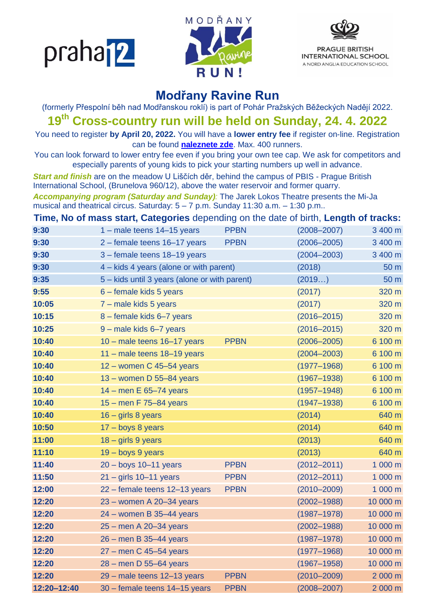praha<sup>12</sup>





## **Modřany Ravine Run**

(formerly Přespolní běh nad Modřanskou roklí) is part of Pohár Pražských Běžeckých Nadějí 2022.

**19 th Cross-country run will be held on Sunday, 24. 4. 2022**

You need to register **by April 20, 2022.** You will have a **lower entry fee** if register on-line. Registration can be found **[naleznete zde](https://docs.google.com/forms/d/1ZZVbvcT1E3rAOwjHHPr9FVEpz8-ZhtNjkkxuN8Udwbc/edit)**. Max. 400 runners.

You can look forward to lower entry fee even if you bring your own tee cap. We ask for competitors and especially parents of young kids to pick your starting numbers up well in advance.

*Start and finish* are on the meadow U Liščích děr, behind the campus of PBIS - Prague British International School, (Brunelova 960/12), above the water reservoir and former quarry.

*Accompanying program (Saturday and Sunday):* The Jarek Lokos Theatre presents the Mi-Ja musical and theatrical circus. Saturday:  $5 - 7$  p.m. Sunday 11:30 a.m.  $-$  1:30 p.m..

**Time, No of mass start, Categories** depending on the date of birth, **Length of tracks:**

| 9:30        | 1 - male teens 14-15 years                    | <b>PPBN</b> | $(2008 - 2007)$ | 3 400 m         |
|-------------|-----------------------------------------------|-------------|-----------------|-----------------|
| 9:30        | 2 - female teens 16-17 years                  | <b>PPBN</b> | $(2006 - 2005)$ | 3 400 m         |
| 9:30        | 3 - female teens 18-19 years                  |             | $(2004 - 2003)$ | 3 400 m         |
| 9:30        | 4 – kids 4 years (alone or with parent)       |             | (2018)          | 50 <sub>m</sub> |
| 9:35        | 5 - kids until 3 years (alone or with parent) |             | (2019)          | 50 m            |
| 9:55        | 6 – female kids 5 years                       |             | (2017)          | 320 m           |
| 10:05       | 7 - male kids 5 years                         |             | (2017)          | 320 m           |
| 10:15       | 8 - female kids 6-7 years                     |             | $(2016 - 2015)$ | 320 m           |
| 10:25       | 9 - male kids 6-7 years                       |             | $(2016 - 2015)$ | 320 m           |
| 10:40       | 10 - male teens 16-17 years                   | <b>PPBN</b> | $(2006 - 2005)$ | 6 100 m         |
| 10:40       | 11 - male teens 18-19 years                   |             | $(2004 - 2003)$ | 6 100 m         |
| 10:40       | 12 - women C 45-54 years                      |             | $(1977 - 1968)$ | 6 100 m         |
| 10:40       | $13 -$ women D 55-84 years                    |             | $(1967 - 1938)$ | 6 100 m         |
| 10:40       | $14$ – men E 65–74 years                      |             | $(1957 - 1948)$ | 6 100 m         |
| 10:40       | 15 - men F 75-84 years                        |             | $(1947 - 1938)$ | 6 100 m         |
| 10:40       | $16 - girls 8 years$                          |             | (2014)          | 640 m           |
| 10:50       | $17 - boys 8 years$                           |             | (2014)          | 640 m           |
| 11:00       | $18 - girls 9 years$                          |             | (2013)          | 640 m           |
| 11:10       | 19 - boys 9 years                             |             | (2013)          | 640 m           |
| 11:40       | $20 - boys 10 - 11 years$                     | <b>PPBN</b> | $(2012 - 2011)$ | 1 000 m         |
| 11:50       | $21 - girls 10 - 11 years$                    | <b>PPBN</b> | $(2012 - 2011)$ | 1 000 m         |
| 12:00       | 22 - female teens 12-13 years                 | <b>PPBN</b> | $(2010 - 2009)$ | 1 000 m         |
| 12:20       | 23 - women A 20-34 years                      |             | $(2002 - 1988)$ | 10 000 m        |
| 12:20       | $24 -$ women B 35-44 years                    |             | $(1987 - 1978)$ | 10 000 m        |
| 12:20       | 25 - men A 20-34 years                        |             | $(2002 - 1988)$ | 10 000 m        |
| 12:20       | 26 - men B 35-44 years                        |             | $(1987 - 1978)$ | 10 000 m        |
| 12:20       | $27$ – men C 45–54 years                      |             | $(1977 - 1968)$ | 10 000 m        |
| 12:20       | $28 -$ men D 55-64 years                      |             | $(1967 - 1958)$ | 10 000 m        |
| 12:20       | 29 - male teens 12-13 years                   | <b>PPBN</b> | $(2010 - 2009)$ | 2 000 m         |
| 12:20-12:40 | 30 - female teens 14-15 years                 | <b>PPBN</b> | $(2008 - 2007)$ | 2 000 m         |